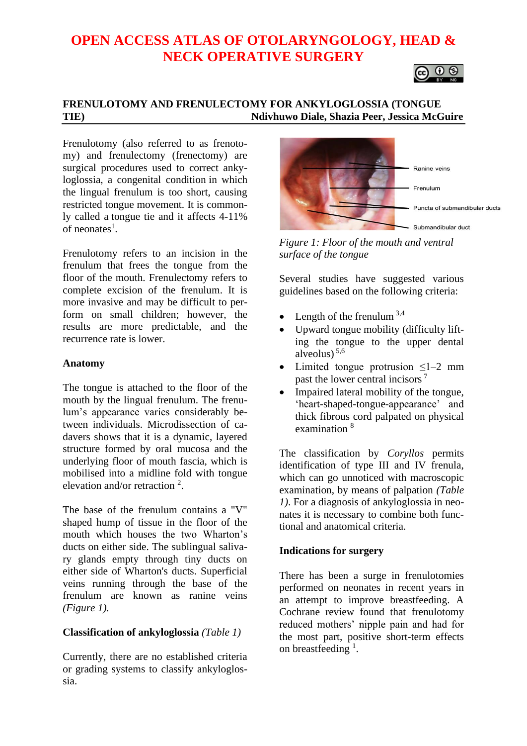# **OPEN ACCESS ATLAS OF OTOLARYNGOLOGY, HEAD & NECK OPERATIVE SURGERY**



## **FRENULOTOMY AND FRENULECTOMY FOR ANKYLOGLOSSIA (TONGUE TIE) Ndivhuwo Diale, Shazia Peer, Jessica McGuire**

Frenulotomy (also referred to as frenotomy) and frenulectomy (frenectomy) are surgical procedures used to correct ankyloglossia, a congenital condition in which the lingual frenulum is too short, causing restricted tongue movement. It is commonly called a [tongue](https://www.verywellhealth.com/what-does-it-mean-to-be-tongue-tied-1192013) tie and it affects 4-11% of neonates<sup>1</sup>.

Frenulotomy refers to an incision in the frenulum that frees the tongue from the floor of the mouth. Frenulectomy refers to complete excision of the frenulum. It is more invasive and may be difficult to perform on small children; however, the results are more predictable, and the recurrence rate is lower.

#### **Anatomy**

The tongue is attached to the floor of the mouth by the lingual frenulum. The frenulum's appearance varies considerably between individuals. Microdissection of cadavers shows that it is a dynamic, layered structure formed by oral mucosa and the underlying floor of mouth fascia, which is mobilised into a midline fold with tongue elevation and/or retraction  $2$ .

The base of the frenulum contains a "V" shaped hump of tissue in the floor of the mouth which houses the two Wharton's ducts on either side. The sublingual salivary glands empty through tiny ducts on either side of Wharton's ducts. Superficial veins running through the base of the frenulum are known as ranine veins *(Figure 1).*

#### **Classification of ankyloglossia** *(Table 1)*

Currently, there are no established criteria or grading systems to classify ankyloglossia.



*Figure 1: Floor of the mouth and ventral surface of the tongue*

Several studies have suggested various guidelines based on the following criteria:

- Length of the frenulum  $3,4$
- Upward tongue mobility (difficulty lifting the tongue to the upper dental alveolus) 5,6
- Limited tongue protrusion  $\leq l-2$  mm past the lower central incisors <sup>7</sup>
- Impaired lateral mobility of the tongue, 'heart-shaped-tongue-appearance' and thick fibrous cord palpated on physical examination 8

The classification by *Coryllos* permits identification of type III and IV frenula, which can go unnoticed with macroscopic examination, by means of palpation *(Table 1)*. For a diagnosis of ankyloglossia in neonates it is necessary to combine both functional and anatomical criteria.

#### **Indications for surgery**

There has been a surge in frenulotomies performed on neonates in recent years in an attempt to improve breastfeeding. A Cochrane review found that frenulotomy reduced mothers' nipple pain and had for the most part, positive short-term effects on breastfeeding  $<sup>1</sup>$ .</sup>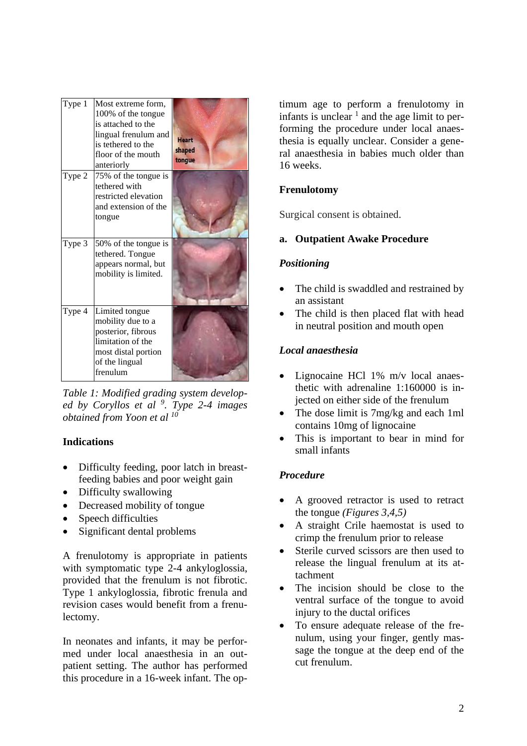| Type 1 | Most extreme form,<br>100% of the tongue<br>is attached to the<br>lingual frenulum and<br>is tethered to the<br>floor of the mouth<br>anteriorly | <b>Heart</b><br>shaped<br>tongue |
|--------|--------------------------------------------------------------------------------------------------------------------------------------------------|----------------------------------|
| Type 2 | 75% of the tongue is<br>tethered with<br>restricted elevation<br>and extension of the<br>tongue                                                  |                                  |
| Type 3 | 50% of the tongue is<br>tethered. Tongue<br>appears normal, but<br>mobility is limited.                                                          |                                  |
| Type 4 | Limited tongue<br>mobility due to a<br>posterior, fibrous<br>limitation of the<br>most distal portion<br>of the lingual<br>frenulum              |                                  |

*Table 1: Modified grading system developed by Coryllos et al <sup>9</sup> . Type 2-4 images obtained from Yoon et al <sup>10</sup>*

## **Indications**

- Difficulty feeding, poor latch in breastfeeding babies and poor weight gain
- Difficulty swallowing
- Decreased mobility of tongue
- Speech difficulties
- Significant dental problems

A frenulotomy is appropriate in patients with symptomatic type 2-4 ankyloglossia, provided that the frenulum is not fibrotic. Type 1 ankyloglossia, fibrotic frenula and revision cases would benefit from a frenulectomy.

In neonates and infants, it may be performed under local anaesthesia in an outpatient setting. The author has performed this procedure in a 16-week infant. The optimum age to perform a frenulotomy in infants is unclear  $<sup>1</sup>$  and the age limit to per-</sup> forming the procedure under local anaesthesia is equally unclear. Consider a general anaesthesia in babies much older than 16 weeks.

# **Frenulotomy**

Surgical consent is obtained.

# **a. Outpatient Awake Procedure**

## *Positioning*

- The child is swaddled and restrained by an assistant
- The child is then placed flat with head in neutral position and mouth open

# *Local anaesthesia*

- Lignocaine HCl 1% m/v local anaesthetic with adrenaline 1:160000 is injected on either side of the frenulum
- The dose limit is 7mg/kg and each 1ml contains 10mg of lignocaine
- This is important to bear in mind for small infants

# *Procedure*

- A grooved retractor is used to retract the tongue *(Figures 3,4,5)*
- A straight Crile haemostat is used to crimp the frenulum prior to release
- Sterile curved scissors are then used to release the lingual frenulum at its attachment
- The incision should be close to the ventral surface of the tongue to avoid injury to the ductal orifices
- To ensure adequate release of the frenulum, using your finger, gently massage the tongue at the deep end of the cut frenulum.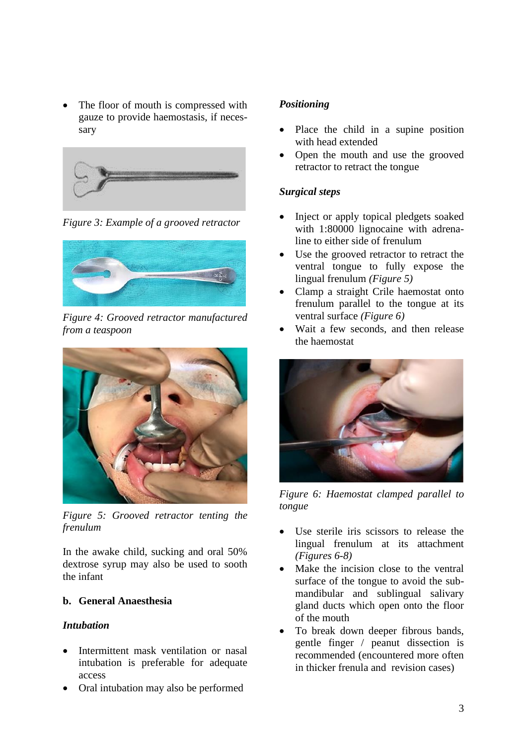The floor of mouth is compressed with gauze to provide haemostasis, if necessary



*Figure 3: Example of a grooved retractor*



*Figure 4: Grooved retractor manufactured from a teaspoon*



*Figure 5: Grooved retractor tenting the frenulum*

In the awake child, sucking and oral 50% dextrose syrup may also be used to sooth the infant

## **b. General Anaesthesia**

## *Intubation*

- Intermittent mask ventilation or nasal intubation is preferable for adequate access
- Oral intubation may also be performed

## *Positioning*

- Place the child in a supine position with head extended
- Open the mouth and use the grooved retractor to retract the tongue

## *Surgical steps*

- Inject or apply topical pledgets soaked with 1:80000 lignocaine with adrenaline to either side of frenulum
- Use the grooved retractor to retract the ventral tongue to fully expose the lingual frenulum *(Figure 5)*
- Clamp a straight Crile haemostat onto frenulum parallel to the tongue at its ventral surface *(Figure 6)*
- Wait a few seconds, and then release the haemostat



*Figure 6: Haemostat clamped parallel to tongue*

- Use sterile iris scissors to release the lingual frenulum at its attachment *(Figures 6-8)*
- Make the incision close to the ventral surface of the tongue to avoid the submandibular and sublingual salivary gland ducts which open onto the floor of the mouth
- To break down deeper fibrous bands, gentle finger / peanut dissection is recommended (encountered more often in thicker frenula and revision cases)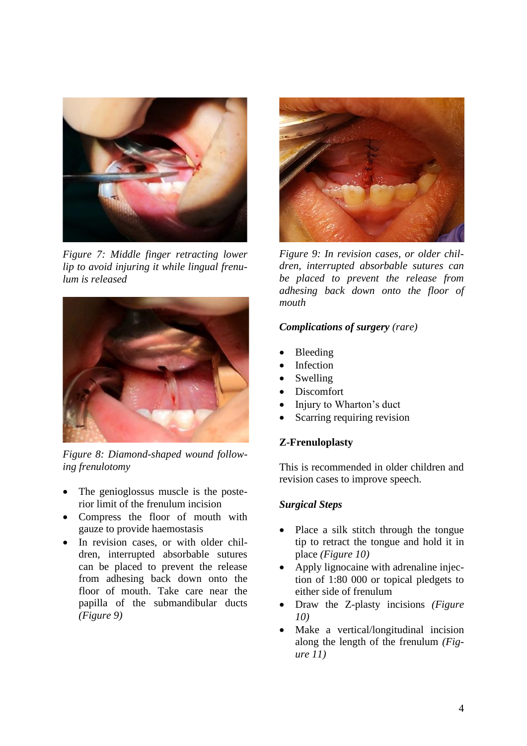

*Figure 7: Middle finger retracting lower lip to avoid injuring it while lingual frenulum is released*



*Figure 8: Diamond-shaped wound following frenulotomy*

- The genioglossus muscle is the posterior limit of the frenulum incision
- Compress the floor of mouth with gauze to provide haemostasis
- In revision cases, or with older children, interrupted absorbable sutures can be placed to prevent the release from adhesing back down onto the floor of mouth. Take care near the papilla of the submandibular ducts *(Figure 9)*



*Figure 9: In revision cases, or older children, interrupted absorbable sutures can be placed to prevent the release from adhesing back down onto the floor of mouth*

#### *Complications of surgery (rare)*

- Bleeding
- **Infection**
- **Swelling**
- Discomfort
- Injury to Wharton's duct
- Scarring requiring revision

#### **Z-Frenuloplasty**

This is recommended in older children and revision cases to improve speech.

#### *Surgical Steps*

- Place a silk stitch through the tongue tip to retract the tongue and hold it in place *(Figure 10)*
- Apply lignocaine with adrenaline injection of 1:80 000 or topical pledgets to either side of frenulum
- Draw the Z-plasty incisions *(Figure 10)*
- Make a vertical/longitudinal incision along the length of the frenulum *(Figure 11)*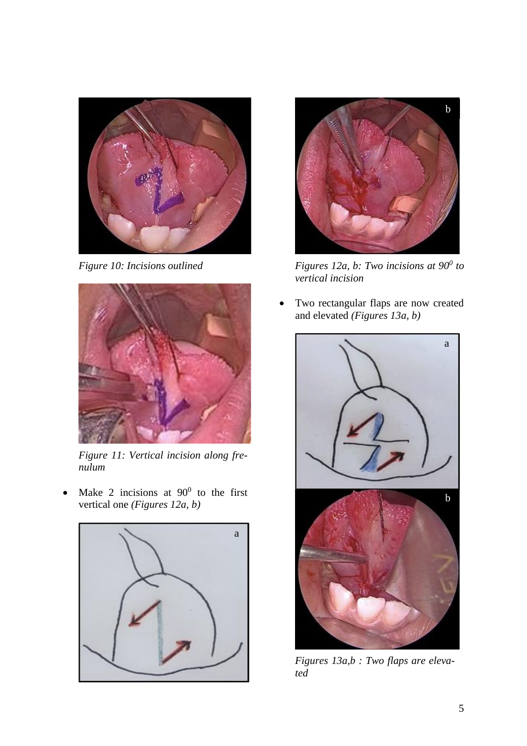

*Figure 10: Incisions outlined*



*Figure 11: Vertical incision along frenulum*

• Make 2 incisions at  $90^{\circ}$  to the first vertical one *(Figures 12a, b)*





*Figures 12a, b: Two incisions at 90<sup>0</sup> to vertical incision*

Two rectangular flaps are now created and elevated *(Figures 13a, b)*



*Figures 13a,b : Two flaps are elevated*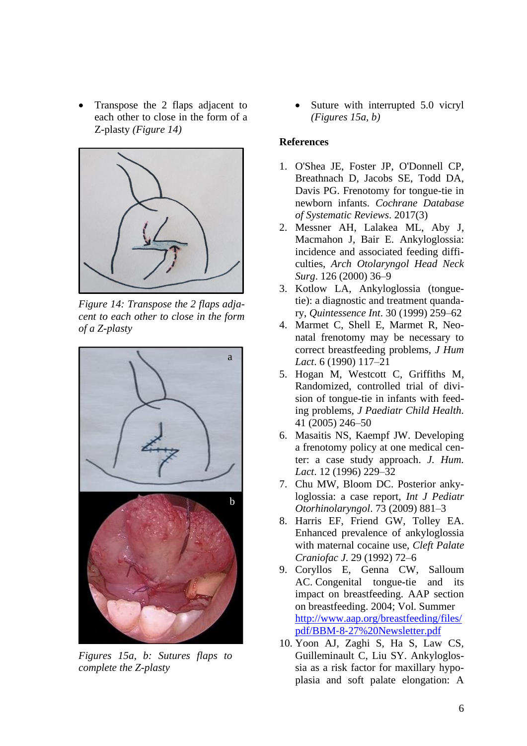• Transpose the 2 flaps adjacent to each other to close in the form of a Z-plasty *(Figure 14)*



*Figure 14: Transpose the 2 flaps adjacent to each other to close in the form of a Z-plasty*



*Figures 15a, b: Sutures flaps to complete the Z-plasty*

Suture with interrupted 5.0 vicryl *(Figures 15a, b)*

#### **References**

- 1. O'Shea JE, Foster JP, O'Donnell CP, Breathnach D, Jacobs SE, Todd DA, Davis PG. Frenotomy for tongue-tie in newborn infants. *Cochrane Database of Systematic Reviews*. 2017(3)
- 2. Messner AH, Lalakea ML, Aby J, Macmahon J, Bair E. Ankyloglossia: incidence and associated feeding difficulties, *Arch Otolaryngol Head Neck Surg*. 126 (2000) 36–9
- 3. Kotlow LA, Ankyloglossia (tonguetie): a diagnostic and treatment quandary, *Quintessence Int*. 30 (1999) 259–62
- 4. Marmet C, Shell E, Marmet R, Neonatal frenotomy may be necessary to correct breastfeeding problems, *J Hum Lact*. 6 (1990) 117–21
- 5. Hogan M, Westcott C, Griffiths M, Randomized, controlled trial of division of tongue-tie in infants with feeding problems, *J Paediatr Child Health.* 41 (2005) 246–50
- 6. Masaitis NS, Kaempf JW. Developing a frenotomy policy at one medical center: a case study approach. *J. Hum. Lact*. 12 (1996) 229–32
- 7. Chu MW, Bloom DC. Posterior ankyloglossia: a case report, *Int J Pediatr Otorhinolaryngol*. 73 (2009) 881–3
- 8. Harris EF, Friend GW, Tolley EA. Enhanced prevalence of ankyloglossia with maternal cocaine use, *Cleft Palate Craniofac J*. 29 (1992) 72–6
- 9. Coryllos E, Genna CW, Salloum AC. Congenital tongue-tie and its impact on breastfeeding. AAP section on breastfeeding. 2004; Vol. Summer [http://www.aap.org/breastfeeding/files/](http://www.aap.org/breastfeeding/files/pdf/BBM‐8‐27%20Newsletter.pdf) pdf/BBM‐8‐[27%20Newsletter.pdf](http://www.aap.org/breastfeeding/files/pdf/BBM‐8‐27%20Newsletter.pdf)
- 10. Yoon AJ, Zaghi S, Ha S, Law CS, Guilleminault C, Liu SY. Ankyloglossia as a risk factor for maxillary hypoplasia and soft palate elongation: A